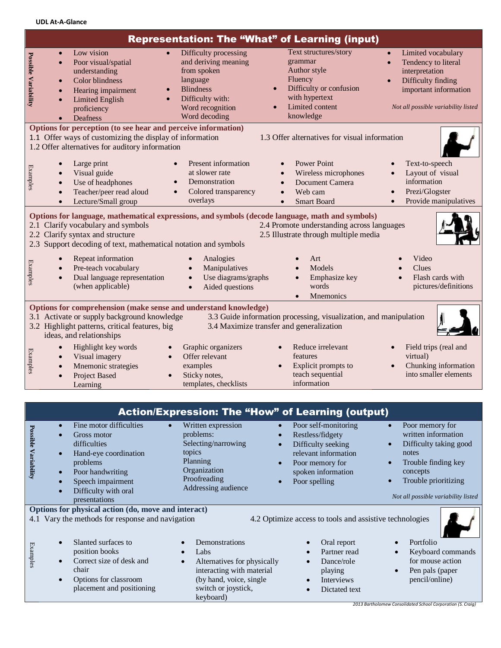**UDL At-A-Glance**

| <b>Representation: The "What" of Learning (input)</b>                                                                                                                                                                                                                                                                               |                                                                                                                                                                                                      |                                                                                                                                                       |                                                                                                                                          |                                                                                                                                                                             |  |  |  |
|-------------------------------------------------------------------------------------------------------------------------------------------------------------------------------------------------------------------------------------------------------------------------------------------------------------------------------------|------------------------------------------------------------------------------------------------------------------------------------------------------------------------------------------------------|-------------------------------------------------------------------------------------------------------------------------------------------------------|------------------------------------------------------------------------------------------------------------------------------------------|-----------------------------------------------------------------------------------------------------------------------------------------------------------------------------|--|--|--|
| <b>Possible Variability</b>                                                                                                                                                                                                                                                                                                         | Low vision<br>$\bullet$<br>Poor visual/spatial<br>$\bullet$<br>understanding<br>Color blindness<br>$\bullet$<br>Hearing impairment<br><b>Limited English</b><br>$\bullet$<br>proficiency<br>Deafness | Difficulty processing<br>and deriving meaning<br>from spoken<br>language<br><b>Blindness</b><br>Difficulty with:<br>Word recognition<br>Word decoding | Text structures/story<br>grammar<br>Author style<br>Fluency<br>Difficulty or confusion<br>with hypertext<br>Limited content<br>knowledge | Limited vocabulary<br>$\bullet$<br>Tendency to literal<br>$\bullet$<br>interpretation<br>Difficulty finding<br>important information<br>Not all possible variability listed |  |  |  |
| Options for perception (to see hear and perceive information)<br>1.3 Offer alternatives for visual information<br>1.1 Offer ways of customizing the display of information<br>1.2 Offer alternatives for auditory information                                                                                                       |                                                                                                                                                                                                      |                                                                                                                                                       |                                                                                                                                          |                                                                                                                                                                             |  |  |  |
| Examples                                                                                                                                                                                                                                                                                                                            | Large print<br>Visual guide<br>Use of headphones<br>Teacher/peer read aloud<br>Lecture/Small group<br>$\bullet$                                                                                      | Present information<br>at slower rate<br>Demonstration<br>Colored transparency<br>overlays                                                            | <b>Power Point</b><br>Wireless microphones<br>Document Camera<br>Web cam<br><b>Smart Board</b><br>$\bullet$                              | Text-to-speech<br>Layout of visual<br>information<br>Prezi/Glogster<br>Provide manipulatives                                                                                |  |  |  |
| Options for language, mathematical expressions, and symbols (decode language, math and symbols)<br>2.1 Clarify vocabulary and symbols<br>2.4 Promote understanding across languages<br>2.2 Clarify syntax and structure<br>2.5 Illustrate through multiple media<br>2.3 Support decoding of text, mathematical notation and symbols |                                                                                                                                                                                                      |                                                                                                                                                       |                                                                                                                                          |                                                                                                                                                                             |  |  |  |
| Examples                                                                                                                                                                                                                                                                                                                            | Repeat information<br>Pre-teach vocabulary<br>Dual language representation<br>(when applicable)                                                                                                      | Analogies<br>Manipulatives<br>Use diagrams/graphs<br>Aided questions                                                                                  | Art<br>Models<br>Emphasize key<br>words<br><b>M</b> nemonics<br>$\bullet$                                                                | Video<br>Clues<br>Flash cards with<br>pictures/definitions                                                                                                                  |  |  |  |
| Options for comprehension (make sense and understand knowledge)<br>3.1 Activate or supply background knowledge<br>3.3 Guide information processing, visualization, and manipulation<br>3.2 Highlight patterns, critical features, big<br>3.4 Maximize transfer and generalization<br>ideas, and relationships                       |                                                                                                                                                                                                      |                                                                                                                                                       |                                                                                                                                          |                                                                                                                                                                             |  |  |  |
| Examples                                                                                                                                                                                                                                                                                                                            | Highlight key words<br>Visual imagery<br>Mnemonic strategies<br>Project Based<br>Learning                                                                                                            | Graphic organizers<br>Offer relevant<br>examples<br>Sticky notes,<br>templates, checklists                                                            | Reduce irrelevant<br>features<br>Explicit prompts to<br>teach sequential<br>information                                                  | Field trips (real and<br>virtual)<br>Chunking information<br>into smaller elements                                                                                          |  |  |  |

| <b>Action/Expression: The "How" of Learning (output)</b>                                                                                                           |                                                                                                                                                                               |                                                                                                                                                   |                                                                                                                                                  |                                                                                                                                                                             |  |  |  |
|--------------------------------------------------------------------------------------------------------------------------------------------------------------------|-------------------------------------------------------------------------------------------------------------------------------------------------------------------------------|---------------------------------------------------------------------------------------------------------------------------------------------------|--------------------------------------------------------------------------------------------------------------------------------------------------|-----------------------------------------------------------------------------------------------------------------------------------------------------------------------------|--|--|--|
| Possible<br>Variability                                                                                                                                            | Fine motor difficulties<br>Gross motor<br>difficulties<br>Hand-eye coordination<br>problems<br>Poor handwriting<br>Speech impairment<br>Difficulty with oral<br>presentations | Written expression<br>problems:<br>Selecting/narrowing<br>topics<br>Planning<br>Organization<br>Proofreading<br>Addressing audience               | Poor self-monitoring<br>Restless/fidgety<br>Difficulty seeking<br>relevant information<br>Poor memory for<br>spoken information<br>Poor spelling | Poor memory for<br>written information<br>Difficulty taking good<br>notes<br>Trouble finding key<br>concepts<br>Trouble prioritizing<br>Not all possible variability listed |  |  |  |
| Options for physical action (do, move and interact)<br>4.1 Vary the methods for response and navigation<br>4.2 Optimize access to tools and assistive technologies |                                                                                                                                                                               |                                                                                                                                                   |                                                                                                                                                  |                                                                                                                                                                             |  |  |  |
| Examples                                                                                                                                                           | Slanted surfaces to<br>position books<br>Correct size of desk and<br>chair<br>Options for classroom<br>placement and positioning                                              | Demonstrations<br>Labs<br>Alternatives for physically<br>interacting with material<br>(by hand, voice, single<br>switch or joystick,<br>keyboard) | Oral report<br>Partner read<br>Dance/role<br>$\bullet$<br>playing<br>Interviews<br>$\bullet$<br>Dictated text<br>$\bullet$                       | Portfolio<br>Keyboard commands<br>for mouse action<br>Pen pals (paper<br>pencil/online)<br>2013 Bartholomew Consolidated School Corporation (S. Craig)                      |  |  |  |